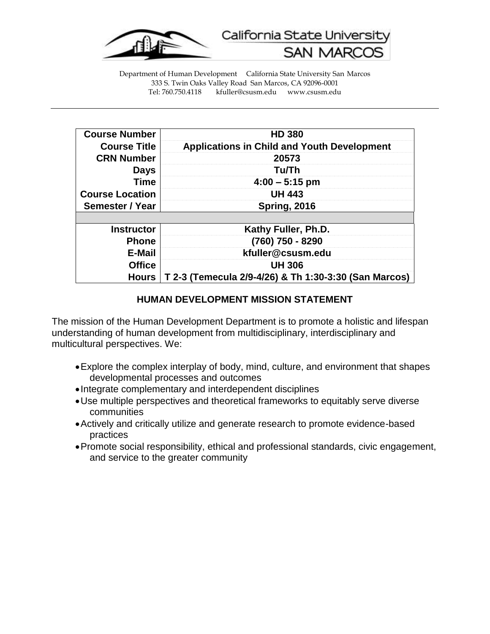

California State University

**SAN MARC** 

Department of Human Development California State University San Marcos 333 S. Twin Oaks Valley Road San Marcos, CA 92096-0001 kfuller@csusm.edu www.csusm.edu

| <b>Course Number</b>   | <b>HD 380</b>                                         |
|------------------------|-------------------------------------------------------|
| <b>Course Title</b>    | <b>Applications in Child and Youth Development</b>    |
| <b>CRN Number</b>      | 20573                                                 |
| <b>Days</b>            | Tu/Th                                                 |
| <b>Time</b>            | $4:00 - 5:15$ pm                                      |
| <b>Course Location</b> | <b>UH 443</b>                                         |
| Semester / Year        | <b>Spring, 2016</b>                                   |
|                        |                                                       |
| <b>Instructor</b>      | Kathy Fuller, Ph.D.                                   |
| <b>Phone</b>           | (760) 750 - 8290                                      |
| E-Mail                 | kfuller@csusm.edu                                     |
| <b>Office</b>          | <b>UH 306</b>                                         |
| <b>Hours</b>           | T 2-3 (Temecula 2/9-4/26) & Th 1:30-3:30 (San Marcos) |

#### **HUMAN DEVELOPMENT MISSION STATEMENT**

The mission of the Human Development Department is to promote a holistic and lifespan understanding of human development from multidisciplinary, interdisciplinary and multicultural perspectives. We:

- Explore the complex interplay of body, mind, culture, and environment that shapes developmental processes and outcomes
- Integrate complementary and interdependent disciplines
- Use multiple perspectives and theoretical frameworks to equitably serve diverse communities
- Actively and critically utilize and generate research to promote evidence-based practices
- Promote social responsibility, ethical and professional standards, civic engagement, and service to the greater community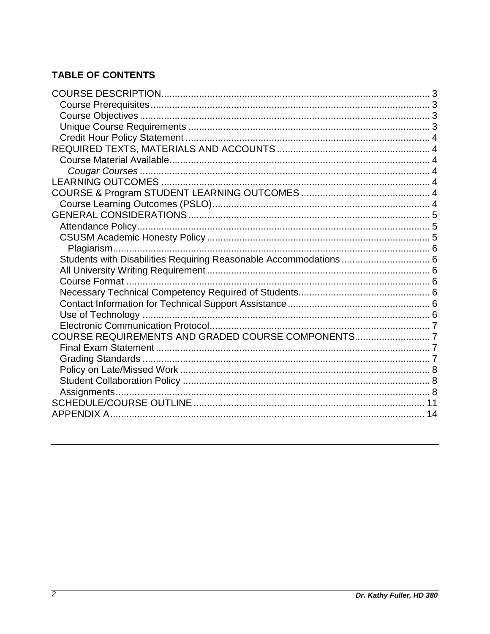# **TABLE OF CONTENTS**

| Students with Disabilities Requiring Reasonable Accommodations  6 |  |
|-------------------------------------------------------------------|--|
|                                                                   |  |
|                                                                   |  |
|                                                                   |  |
|                                                                   |  |
|                                                                   |  |
|                                                                   |  |
| COURSE REQUIREMENTS AND GRADED COURSE COMPONENTS7                 |  |
|                                                                   |  |
|                                                                   |  |
|                                                                   |  |
|                                                                   |  |
|                                                                   |  |
|                                                                   |  |
|                                                                   |  |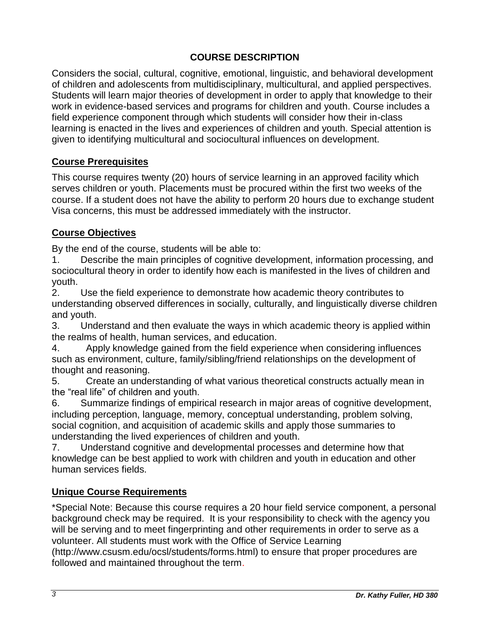## **COURSE DESCRIPTION**

<span id="page-2-0"></span>Considers the social, cultural, cognitive, emotional, linguistic, and behavioral development of children and adolescents from multidisciplinary, multicultural, and applied perspectives. Students will learn major theories of development in order to apply that knowledge to their work in evidence-based services and programs for children and youth. Course includes a field experience component through which students will consider how their in-class learning is enacted in the lives and experiences of children and youth. Special attention is given to identifying multicultural and sociocultural influences on development.

## <span id="page-2-1"></span>**Course Prerequisites**

This course requires twenty (20) hours of service learning in an approved facility which serves children or youth. Placements must be procured within the first two weeks of the course. If a student does not have the ability to perform 20 hours due to exchange student Visa concerns, this must be addressed immediately with the instructor.

### <span id="page-2-2"></span>**Course Objectives**

By the end of the course, students will be able to:

Describe the main principles of cognitive development, information processing, and sociocultural theory in order to identify how each is manifested in the lives of children and youth.

2. Use the field experience to demonstrate how academic theory contributes to understanding observed differences in socially, culturally, and linguistically diverse children and youth.

3. Understand and then evaluate the ways in which academic theory is applied within the realms of health, human services, and education.

4. Apply knowledge gained from the field experience when considering influences such as environment, culture, family/sibling/friend relationships on the development of thought and reasoning.

5. Create an understanding of what various theoretical constructs actually mean in the "real life" of children and youth.

6. Summarize findings of empirical research in major areas of cognitive development, including perception, language, memory, conceptual understanding, problem solving, social cognition, and acquisition of academic skills and apply those summaries to understanding the lived experiences of children and youth.

7. Understand cognitive and developmental processes and determine how that knowledge can be best applied to work with children and youth in education and other human services fields.

### <span id="page-2-3"></span>**Unique Course Requirements**

\*Special Note: Because this course requires a 20 hour field service component, a personal background check may be required. It is your responsibility to check with the agency you will be serving and to meet fingerprinting and other requirements in order to serve as a volunteer. All students must work with the Office of Service Learning (http://www.csusm.edu/ocsl/students/forms.html) to ensure that proper procedures are followed and maintained throughout the term.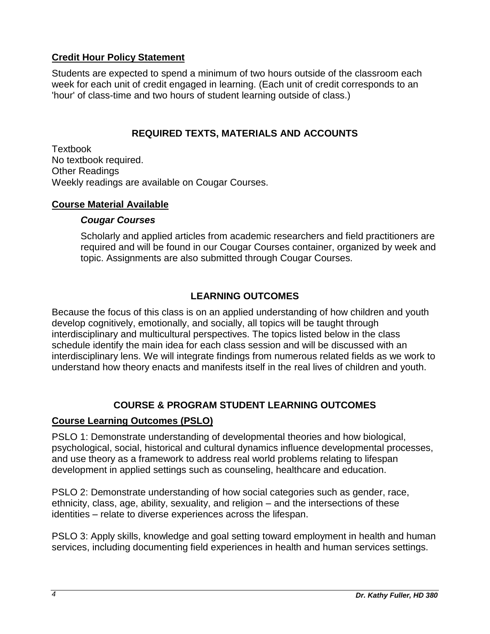### <span id="page-3-0"></span>**Credit Hour Policy Statement**

Students are expected to spend a minimum of two hours outside of the classroom each week for each unit of credit engaged in learning. (Each unit of credit corresponds to an 'hour' of class-time and two hours of student learning outside of class.)

## **REQUIRED TEXTS, MATERIALS AND ACCOUNTS**

<span id="page-3-1"></span>Textbook No textbook required. Other Readings Weekly readings are available on Cougar Courses.

#### <span id="page-3-3"></span><span id="page-3-2"></span>**Course Material Available**

### *Cougar Courses*

Scholarly and applied articles from academic researchers and field practitioners are required and will be found in our Cougar Courses container, organized by week and topic. Assignments are also submitted through Cougar Courses.

## **LEARNING OUTCOMES**

<span id="page-3-4"></span>Because the focus of this class is on an applied understanding of how children and youth develop cognitively, emotionally, and socially, all topics will be taught through interdisciplinary and multicultural perspectives. The topics listed below in the class schedule identify the main idea for each class session and will be discussed with an interdisciplinary lens. We will integrate findings from numerous related fields as we work to understand how theory enacts and manifests itself in the real lives of children and youth.

## **COURSE & PROGRAM STUDENT LEARNING OUTCOMES**

### <span id="page-3-6"></span><span id="page-3-5"></span>**Course Learning Outcomes (PSLO)**

PSLO 1: Demonstrate understanding of developmental theories and how biological, psychological, social, historical and cultural dynamics influence developmental processes, and use theory as a framework to address real world problems relating to lifespan development in applied settings such as counseling, healthcare and education.

PSLO 2: Demonstrate understanding of how social categories such as gender, race, ethnicity, class, age, ability, sexuality, and religion – and the intersections of these identities – relate to diverse experiences across the lifespan.

PSLO 3: Apply skills, knowledge and goal setting toward employment in health and human services, including documenting field experiences in health and human services settings.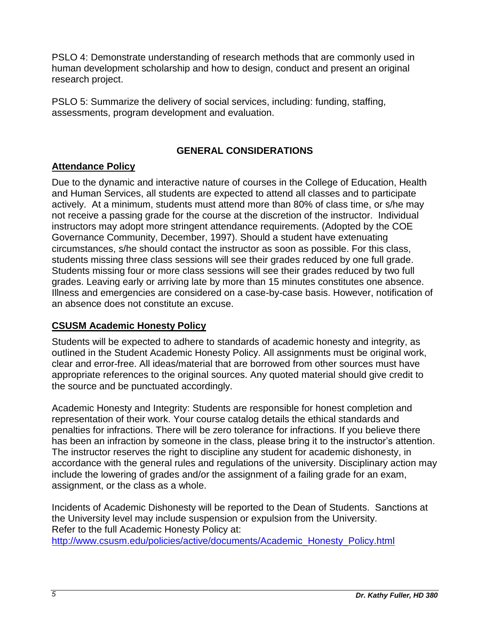PSLO 4: Demonstrate understanding of research methods that are commonly used in human development scholarship and how to design, conduct and present an original research project.

PSLO 5: Summarize the delivery of social services, including: funding, staffing, assessments, program development and evaluation.

## **GENERAL CONSIDERATIONS**

## <span id="page-4-1"></span><span id="page-4-0"></span>**Attendance Policy**

Due to the dynamic and interactive nature of courses in the College of Education, Health and Human Services, all students are expected to attend all classes and to participate actively. At a minimum, students must attend more than 80% of class time, or s/he may not receive a passing grade for the course at the discretion of the instructor. Individual instructors may adopt more stringent attendance requirements. (Adopted by the COE Governance Community, December, 1997). Should a student have extenuating circumstances, s/he should contact the instructor as soon as possible. For this class, students missing three class sessions will see their grades reduced by one full grade. Students missing four or more class sessions will see their grades reduced by two full grades. Leaving early or arriving late by more than 15 minutes constitutes one absence. Illness and emergencies are considered on a case-by-case basis. However, notification of an absence does not constitute an excuse.

# <span id="page-4-2"></span>**CSUSM Academic Honesty Policy**

Students will be expected to adhere to standards of academic honesty and integrity, as outlined in the Student Academic Honesty Policy. All assignments must be original work, clear and error-free. All ideas/material that are borrowed from other sources must have appropriate references to the original sources. Any quoted material should give credit to the source and be punctuated accordingly.

Academic Honesty and Integrity: Students are responsible for honest completion and representation of their work. Your course catalog details the ethical standards and penalties for infractions. There will be zero tolerance for infractions. If you believe there has been an infraction by someone in the class, please bring it to the instructor's attention. The instructor reserves the right to discipline any student for academic dishonesty, in accordance with the general rules and regulations of the university. Disciplinary action may include the lowering of grades and/or the assignment of a failing grade for an exam, assignment, or the class as a whole.

Incidents of Academic Dishonesty will be reported to the Dean of Students. Sanctions at the University level may include suspension or expulsion from the University. Refer to the full Academic Honesty Policy at: [http://www.csusm.edu/policies/active/documents/Academic\\_Honesty\\_Policy.html](http://www.csusm.edu/policies/active/documents/Academic_Honesty_Policy.html)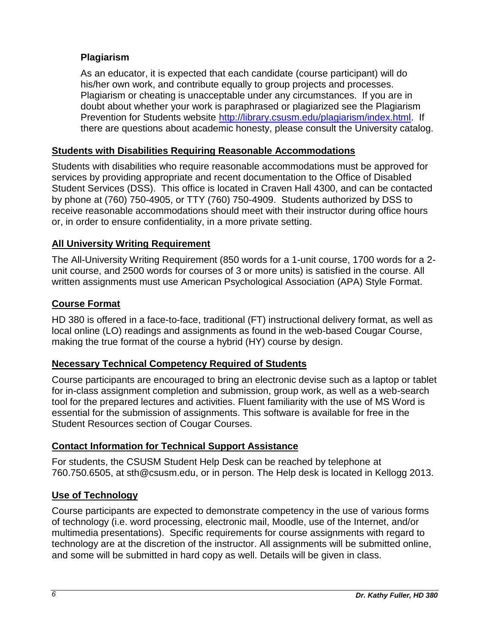## <span id="page-5-0"></span>**Plagiarism**

As an educator, it is expected that each candidate (course participant) will do his/her own work, and contribute equally to group projects and processes. Plagiarism or cheating is unacceptable under any circumstances. If you are in doubt about whether your work is paraphrased or plagiarized see the Plagiarism Prevention for Students website [http://library.csusm.edu/plagiarism/index.html.](http://library.csusm.edu/plagiarism/index.html) If there are questions about academic honesty, please consult the University catalog.

#### <span id="page-5-1"></span>**Students with Disabilities Requiring Reasonable Accommodations**

Students with disabilities who require reasonable accommodations must be approved for services by providing appropriate and recent documentation to the Office of Disabled Student Services (DSS). This office is located in Craven Hall 4300, and can be contacted by phone at (760) 750-4905, or TTY (760) 750-4909. Students authorized by DSS to receive reasonable accommodations should meet with their instructor during office hours or, in order to ensure confidentiality, in a more private setting.

### <span id="page-5-2"></span>**All University Writing Requirement**

The All-University Writing Requirement (850 words for a 1-unit course, 1700 words for a 2 unit course, and 2500 words for courses of 3 or more units) is satisfied in the course. All written assignments must use American Psychological Association (APA) Style Format.

#### <span id="page-5-3"></span>**Course Format**

HD 380 is offered in a face-to-face, traditional (FT) instructional delivery format, as well as local online (LO) readings and assignments as found in the web-based Cougar Course, making the true format of the course a hybrid (HY) course by design.

### <span id="page-5-4"></span>**Necessary Technical Competency Required of Students**

Course participants are encouraged to bring an electronic devise such as a laptop or tablet for in-class assignment completion and submission, group work, as well as a web-search tool for the prepared lectures and activities. Fluent familiarity with the use of MS Word is essential for the submission of assignments. This software is available for free in the Student Resources section of Cougar Courses.

### <span id="page-5-5"></span>**Contact Information for Technical Support Assistance**

For students, the CSUSM Student Help Desk can be reached by telephone at 760.750.6505, at sth@csusm.edu, or in person. The Help desk is located in Kellogg 2013.

### <span id="page-5-6"></span>**Use of Technology**

Course participants are expected to demonstrate competency in the use of various forms of technology (i.e. word processing, electronic mail, Moodle, use of the Internet, and/or multimedia presentations). Specific requirements for course assignments with regard to technology are at the discretion of the instructor. All assignments will be submitted online, and some will be submitted in hard copy as well. Details will be given in class.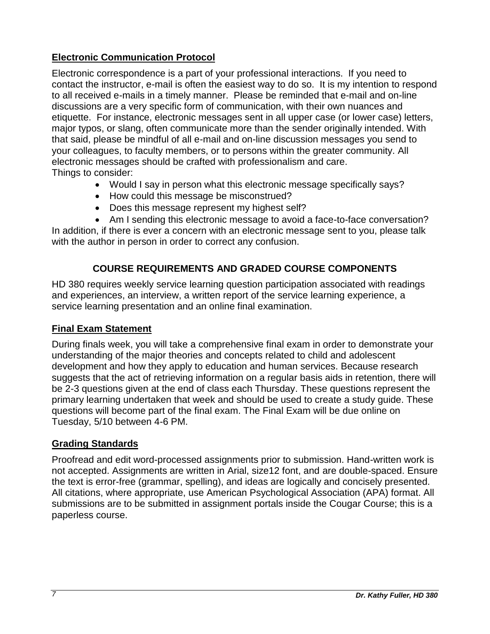## <span id="page-6-0"></span>**Electronic Communication Protocol**

Electronic correspondence is a part of your professional interactions. If you need to contact the instructor, e-mail is often the easiest way to do so. It is my intention to respond to all received e-mails in a timely manner. Please be reminded that e-mail and on-line discussions are a very specific form of communication, with their own nuances and etiquette. For instance, electronic messages sent in all upper case (or lower case) letters, major typos, or slang, often communicate more than the sender originally intended. With that said, please be mindful of all e-mail and on-line discussion messages you send to your colleagues, to faculty members, or to persons within the greater community. All electronic messages should be crafted with professionalism and care. Things to consider:

- Would I say in person what this electronic message specifically says?
- How could this message be misconstrued?
- Does this message represent my highest self?
- Am I sending this electronic message to avoid a face-to-face conversation?

In addition, if there is ever a concern with an electronic message sent to you, please talk with the author in person in order to correct any confusion.

## **COURSE REQUIREMENTS AND GRADED COURSE COMPONENTS**

<span id="page-6-1"></span>HD 380 requires weekly service learning question participation associated with readings and experiences, an interview, a written report of the service learning experience, a service learning presentation and an online final examination.

### <span id="page-6-2"></span>**Final Exam Statement**

During finals week, you will take a comprehensive final exam in order to demonstrate your understanding of the major theories and concepts related to child and adolescent development and how they apply to education and human services. Because research suggests that the act of retrieving information on a regular basis aids in retention, there will be 2-3 questions given at the end of class each Thursday. These questions represent the primary learning undertaken that week and should be used to create a study guide. These questions will become part of the final exam. The Final Exam will be due online on Tuesday, 5/10 between 4-6 PM.

### <span id="page-6-3"></span>**Grading Standards**

Proofread and edit word-processed assignments prior to submission. Hand-written work is not accepted. Assignments are written in Arial, size12 font, and are double-spaced. Ensure the text is error-free (grammar, spelling), and ideas are logically and concisely presented. All citations, where appropriate, use American Psychological Association (APA) format. All submissions are to be submitted in assignment portals inside the Cougar Course; this is a paperless course.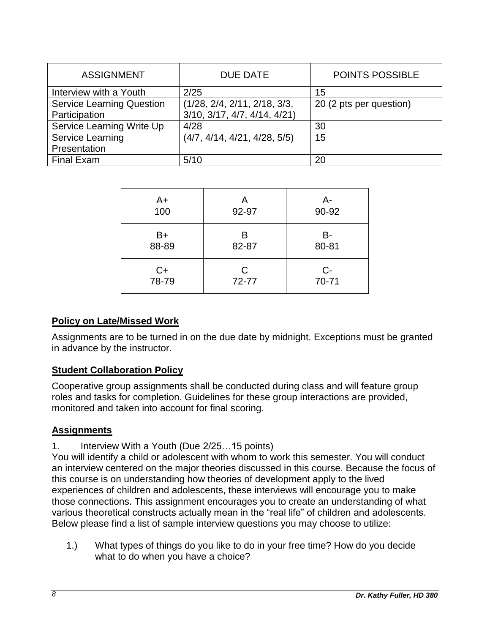| <b>ASSIGNMENT</b>                                 | <b>DUE DATE</b>                                                             | <b>POINTS POSSIBLE</b>  |
|---------------------------------------------------|-----------------------------------------------------------------------------|-------------------------|
| Interview with a Youth                            | 2/25                                                                        | 15                      |
| <b>Service Learning Question</b><br>Participation | (1/28, 2/4, 2/11, 2/18, 3/3,<br>$3/10$ , $3/17$ , $4/7$ , $4/14$ , $4/21$ ) | 20 (2 pts per question) |
| Service Learning Write Up                         | 4/28                                                                        | 30                      |
| <b>Service Learning</b>                           | (4/7, 4/14, 4/21, 4/28, 5/5)                                                | 15                      |
| Presentation                                      |                                                                             |                         |
| <b>Final Exam</b>                                 | 5/10                                                                        | 20                      |

| A+    | Α     | A-    |
|-------|-------|-------|
| 100   | 92-97 | 90-92 |
| B+    | B     | B-    |
| 88-89 | 82-87 | 80-81 |
| C+    | С     | $C-$  |
| 78-79 | 72-77 | 70-71 |

#### <span id="page-7-0"></span>**Policy on Late/Missed Work**

Assignments are to be turned in on the due date by midnight. Exceptions must be granted in advance by the instructor.

#### <span id="page-7-1"></span>**Student Collaboration Policy**

Cooperative group assignments shall be conducted during class and will feature group roles and tasks for completion. Guidelines for these group interactions are provided, monitored and taken into account for final scoring.

#### <span id="page-7-2"></span>**Assignments**

1. Interview With a Youth (Due 2/25…15 points)

You will identify a child or adolescent with whom to work this semester. You will conduct an interview centered on the major theories discussed in this course. Because the focus of this course is on understanding how theories of development apply to the lived experiences of children and adolescents, these interviews will encourage you to make those connections. This assignment encourages you to create an understanding of what various theoretical constructs actually mean in the "real life" of children and adolescents. Below please find a list of sample interview questions you may choose to utilize:

1.) What types of things do you like to do in your free time? How do you decide what to do when you have a choice?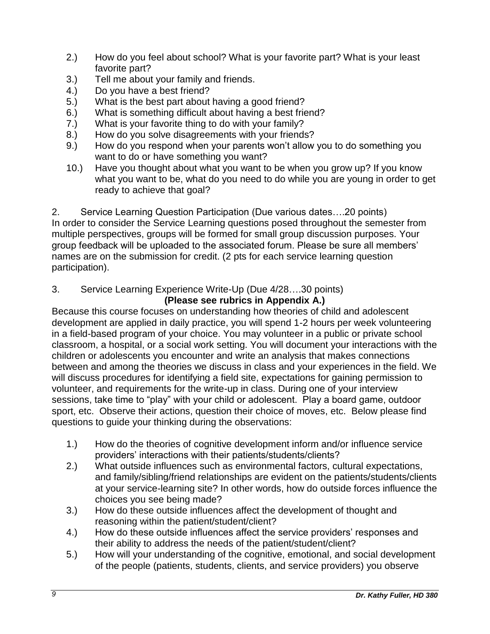- 2.) How do you feel about school? What is your favorite part? What is your least favorite part?
- 3.) Tell me about your family and friends.
- 4.) Do you have a best friend?
- 5.) What is the best part about having a good friend?
- 6.) What is something difficult about having a best friend?
- 7.) What is your favorite thing to do with your family?
- 8.) How do you solve disagreements with your friends?
- 9.) How do you respond when your parents won't allow you to do something you want to do or have something you want?
- 10.) Have you thought about what you want to be when you grow up? If you know what you want to be, what do you need to do while you are young in order to get ready to achieve that goal?

2. Service Learning Question Participation (Due various dates….20 points) In order to consider the Service Learning questions posed throughout the semester from multiple perspectives, groups will be formed for small group discussion purposes. Your group feedback will be uploaded to the associated forum. Please be sure all members' names are on the submission for credit. (2 pts for each service learning question participation).

3. Service Learning Experience Write-Up (Due 4/28….30 points)

## **(Please see rubrics in Appendix A.)**

Because this course focuses on understanding how theories of child and adolescent development are applied in daily practice, you will spend 1-2 hours per week volunteering in a field-based program of your choice. You may volunteer in a public or private school classroom, a hospital, or a social work setting. You will document your interactions with the children or adolescents you encounter and write an analysis that makes connections between and among the theories we discuss in class and your experiences in the field. We will discuss procedures for identifying a field site, expectations for gaining permission to volunteer, and requirements for the write-up in class. During one of your interview sessions, take time to "play" with your child or adolescent. Play a board game, outdoor sport, etc. Observe their actions, question their choice of moves, etc. Below please find questions to guide your thinking during the observations:

- 1.) How do the theories of cognitive development inform and/or influence service providers' interactions with their patients/students/clients?
- 2.) What outside influences such as environmental factors, cultural expectations, and family/sibling/friend relationships are evident on the patients/students/clients at your service-learning site? In other words, how do outside forces influence the choices you see being made?
- 3.) How do these outside influences affect the development of thought and reasoning within the patient/student/client?
- 4.) How do these outside influences affect the service providers' responses and their ability to address the needs of the patient/student/client?
- 5.) How will your understanding of the cognitive, emotional, and social development of the people (patients, students, clients, and service providers) you observe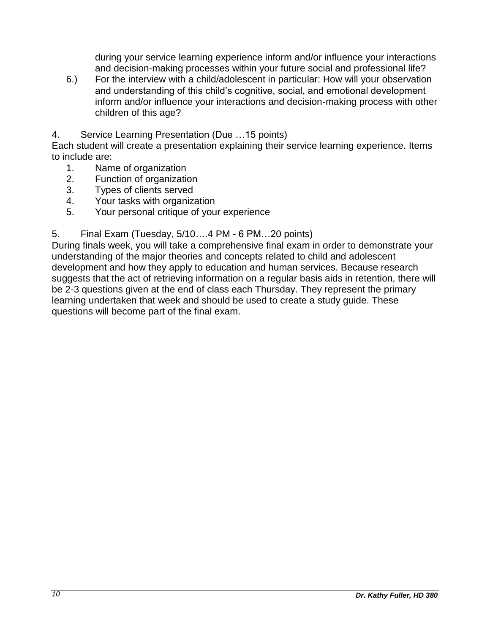during your service learning experience inform and/or influence your interactions and decision-making processes within your future social and professional life?

- 6.) For the interview with a child/adolescent in particular: How will your observation and understanding of this child's cognitive, social, and emotional development inform and/or influence your interactions and decision-making process with other children of this age?
- 4. Service Learning Presentation (Due …15 points)

Each student will create a presentation explaining their service learning experience. Items to include are:

- 1. Name of organization
- 2. Function of organization
- 3. Types of clients served
- 4. Your tasks with organization
- 5. Your personal critique of your experience

5. Final Exam (Tuesday, 5/10….4 PM - 6 PM…20 points)

During finals week, you will take a comprehensive final exam in order to demonstrate your understanding of the major theories and concepts related to child and adolescent development and how they apply to education and human services. Because research suggests that the act of retrieving information on a regular basis aids in retention, there will be 2-3 questions given at the end of class each Thursday. They represent the primary learning undertaken that week and should be used to create a study guide. These questions will become part of the final exam.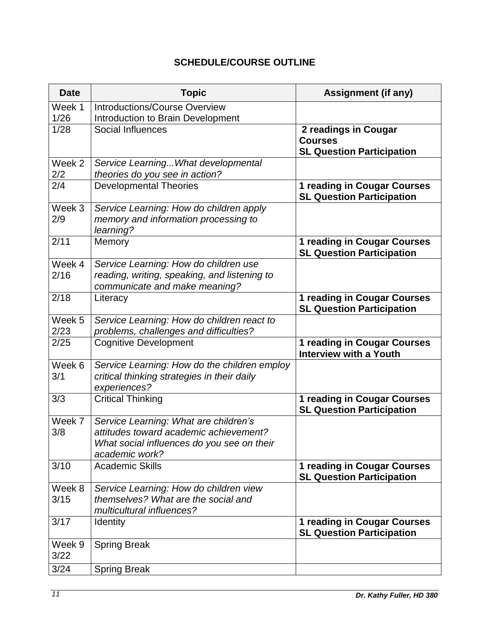## **SCHEDULE/COURSE OUTLINE**

<span id="page-10-0"></span>

| <b>Date</b>       | <b>Topic</b>                                                | <b>Assignment (if any)</b>                                             |
|-------------------|-------------------------------------------------------------|------------------------------------------------------------------------|
| Week 1            | <b>Introductions/Course Overview</b>                        |                                                                        |
| 1/26              | Introduction to Brain Development                           |                                                                        |
| 1/28              | Social Influences                                           | 2 readings in Cougar                                                   |
|                   |                                                             | <b>Courses</b>                                                         |
|                   |                                                             | <b>SL Question Participation</b>                                       |
| Week 2            | Service Learning What developmental                         |                                                                        |
| 2/2               | theories do you see in action?                              |                                                                        |
| 2/4               | <b>Developmental Theories</b>                               | 1 reading in Cougar Courses<br><b>SL Question Participation</b>        |
| Week <sub>3</sub> | Service Learning: How do children apply                     |                                                                        |
| 2/9               | memory and information processing to<br>learning?           |                                                                        |
| 2/11              | Memory                                                      | 1 reading in Cougar Courses                                            |
|                   |                                                             | <b>SL Question Participation</b>                                       |
| Week 4            | Service Learning: How do children use                       |                                                                        |
| 2/16              | reading, writing, speaking, and listening to                |                                                                        |
|                   | communicate and make meaning?                               |                                                                        |
| 2/18              | Literacy                                                    | 1 reading in Cougar Courses<br><b>SL Question Participation</b>        |
| Week 5            | Service Learning: How do children react to                  |                                                                        |
| 2/23              | problems, challenges and difficulties?                      |                                                                        |
| 2/25              | <b>Cognitive Development</b>                                | <b>1 reading in Cougar Courses</b><br><b>Interview with a Youth</b>    |
| Week 6            | Service Learning: How do the children employ                |                                                                        |
| 3/1               | critical thinking strategies in their daily<br>experiences? |                                                                        |
| 3/3               | <b>Critical Thinking</b>                                    | <b>1 reading in Cougar Courses</b><br><b>SL Question Participation</b> |
| Week 7            | Service Learning: What are children's                       |                                                                        |
| 3/8               | attitudes toward academic achievement?                      |                                                                        |
|                   | What social influences do you see on their                  |                                                                        |
|                   | academic work?                                              |                                                                        |
| 3/10              | <b>Academic Skills</b>                                      | 1 reading in Cougar Courses<br><b>SL Question Participation</b>        |
| Week 8            | Service Learning: How do children view                      |                                                                        |
| 3/15              | themselves? What are the social and                         |                                                                        |
|                   | multicultural influences?                                   |                                                                        |
| 3/17              | <b>Identity</b>                                             | <b>1 reading in Cougar Courses</b><br><b>SL Question Participation</b> |
| Week 9            | <b>Spring Break</b>                                         |                                                                        |
| 3/22              |                                                             |                                                                        |
| 3/24              | <b>Spring Break</b>                                         |                                                                        |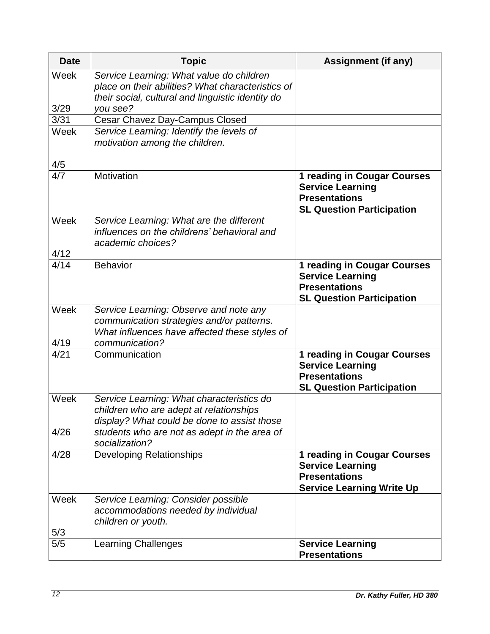| <b>Date</b>  | <b>Topic</b>                                                                                                                                                                                          | <b>Assignment (if any)</b>                                                                                                |
|--------------|-------------------------------------------------------------------------------------------------------------------------------------------------------------------------------------------------------|---------------------------------------------------------------------------------------------------------------------------|
| Week         | Service Learning: What value do children<br>place on their abilities? What characteristics of<br>their social, cultural and linguistic identity do                                                    |                                                                                                                           |
| 3/29         | vou see?                                                                                                                                                                                              |                                                                                                                           |
| 3/31         | Cesar Chavez Day-Campus Closed                                                                                                                                                                        |                                                                                                                           |
| Week         | Service Learning: Identify the levels of<br>motivation among the children.                                                                                                                            |                                                                                                                           |
| 4/5          |                                                                                                                                                                                                       |                                                                                                                           |
| 4/7          | Motivation                                                                                                                                                                                            | 1 reading in Cougar Courses<br><b>Service Learning</b><br><b>Presentations</b><br><b>SL Question Participation</b>        |
| Week<br>4/12 | Service Learning: What are the different<br>influences on the childrens' behavioral and<br>academic choices?                                                                                          |                                                                                                                           |
| 4/14         | <b>Behavior</b>                                                                                                                                                                                       | 1 reading in Cougar Courses<br><b>Service Learning</b><br><b>Presentations</b><br><b>SL Question Participation</b>        |
| Week         | Service Learning: Observe and note any<br>communication strategies and/or patterns.<br>What influences have affected these styles of<br>communication?                                                |                                                                                                                           |
| 4/19<br>4/21 | Communication                                                                                                                                                                                         | 1 reading in Cougar Courses<br><b>Service Learning</b><br><b>Presentations</b><br><b>SL Question Participation</b>        |
| Week<br>4/26 | Service Learning: What characteristics do<br>children who are adept at relationships<br>display? What could be done to assist those<br>students who are not as adept in the area of<br>socialization? |                                                                                                                           |
| 4/28         | <b>Developing Relationships</b>                                                                                                                                                                       | <b>1 reading in Cougar Courses</b><br><b>Service Learning</b><br><b>Presentations</b><br><b>Service Learning Write Up</b> |
| Week<br>5/3  | Service Learning: Consider possible<br>accommodations needed by individual<br>children or youth.                                                                                                      |                                                                                                                           |
| 5/5          | <b>Learning Challenges</b>                                                                                                                                                                            | <b>Service Learning</b><br><b>Presentations</b>                                                                           |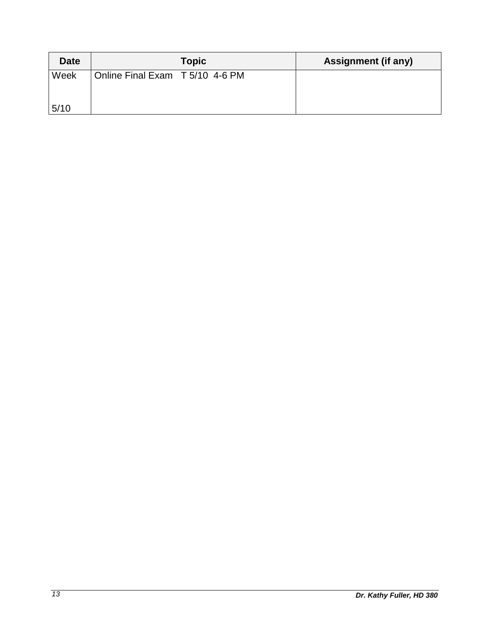| <b>Date</b> | <b>Topic</b>                    | <b>Assignment (if any)</b> |
|-------------|---------------------------------|----------------------------|
| Week        | Online Final Exam T 5/10 4-6 PM |                            |
| 5/10        |                                 |                            |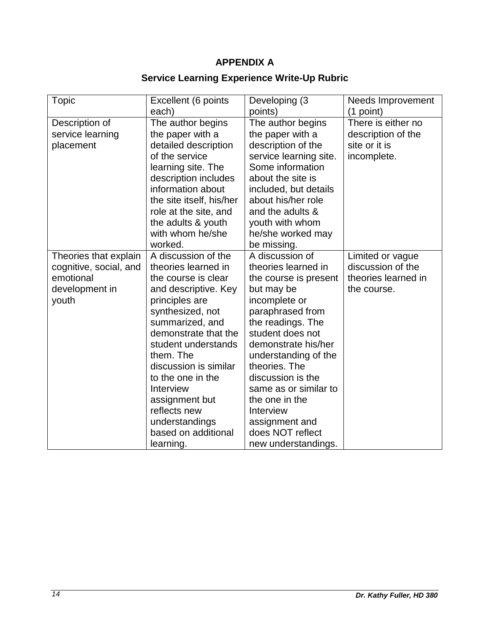# **APPENDIX A**

## **Service Learning Experience Write-Up Rubric**

<span id="page-13-0"></span>

| <b>Topic</b>           | Excellent (6 points      | Developing (3          | <b>Needs Improvement</b> |
|------------------------|--------------------------|------------------------|--------------------------|
|                        | each)                    | points)                | $(1$ point)              |
| Description of         | The author begins        | The author begins      | There is either no       |
| service learning       | the paper with a         | the paper with a       | description of the       |
| placement              | detailed description     | description of the     | site or it is            |
|                        | of the service           | service learning site. | incomplete.              |
|                        | learning site. The       | Some information       |                          |
|                        | description includes     | about the site is      |                          |
|                        | information about        | included, but details  |                          |
|                        | the site itself, his/her | about his/her role     |                          |
|                        | role at the site, and    | and the adults &       |                          |
|                        | the adults & youth       | youth with whom        |                          |
|                        | with whom he/she         | he/she worked may      |                          |
|                        | worked.                  | be missing.            |                          |
| Theories that explain  | A discussion of the      | A discussion of        | Limited or vague         |
| cognitive, social, and | theories learned in      | theories learned in    | discussion of the        |
| emotional              | the course is clear      | the course is present  | theories learned in      |
| development in         | and descriptive. Key     | but may be             | the course.              |
| youth                  | principles are           | incomplete or          |                          |
|                        | synthesized, not         | paraphrased from       |                          |
|                        | summarized, and          | the readings. The      |                          |
|                        | demonstrate that the     | student does not       |                          |
|                        | student understands      | demonstrate his/her    |                          |
|                        | them. The                | understanding of the   |                          |
|                        | discussion is similar    | theories. The          |                          |
|                        | to the one in the        | discussion is the      |                          |
|                        | Interview                | same as or similar to  |                          |
|                        | assignment but           | the one in the         |                          |
|                        | reflects new             | Interview              |                          |
|                        | understandings           | assignment and         |                          |
|                        | based on additional      | does NOT reflect       |                          |
|                        | learning.                | new understandings.    |                          |